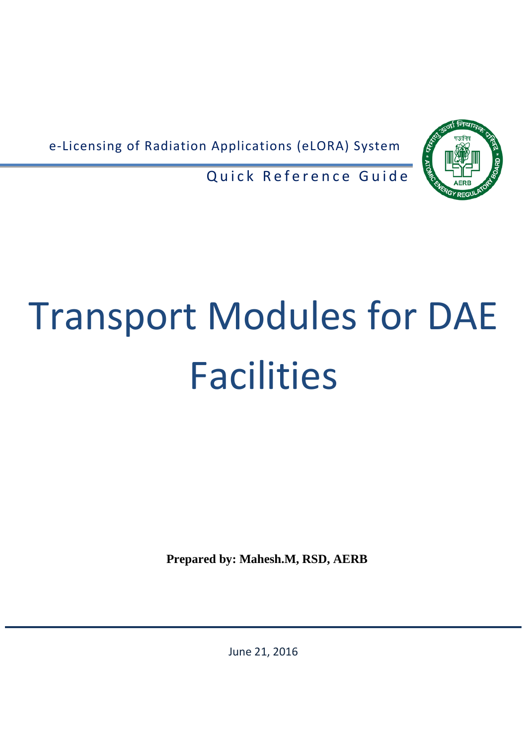e-Licensing of Radiation Applications (eLORA) System



Quick Reference Guide

# Transport Modules for DAE **Facilities**

**Prepared by: Mahesh.M, RSD, AERB**

June 21, 2016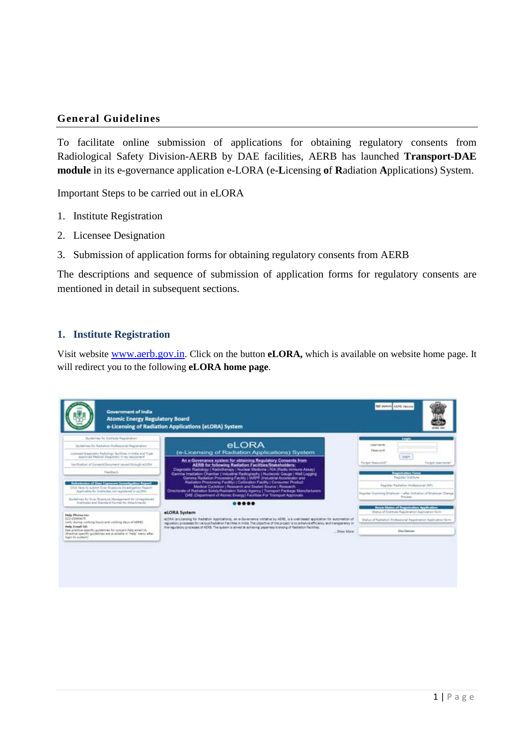# **General Guidelines**

To facilitate online submission of applications for obtaining regulatory consents from Radiological Safety Division-AERB by DAE facilities, AERB has launched **Transport-DAE module** in its e-governance application e-LORA (e-**L**icensing **o**f **R**adiation **A**pplications) System.

Important Steps to be carried out in eLORA

- 1. Institute Registration
- 2. Licensee Designation
- 3. Submission of application forms for obtaining regulatory consents from AERB

The descriptions and sequence of submission of application forms for regulatory consents are mentioned in detail in subsequent sections.

## **1. Institute Registration**

Visit website [www.aerb.gov.in.](http://www.aerb.gov.in/) Click on the button **eLORA,** which is available on website home page. It will redirect you to the following **eLORA home page**.

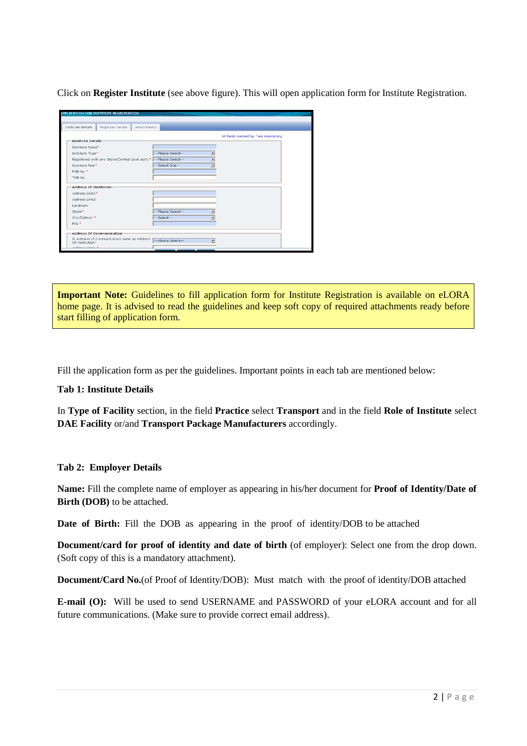Click on **Register Institute** (see above figure). This will open application form for Institute Registration.

| Institute Details                                                 | Employer Details                            | Attachments       |   |                                     |
|-------------------------------------------------------------------|---------------------------------------------|-------------------|---|-------------------------------------|
|                                                                   |                                             |                   |   | All fields marked by *are mandatory |
| <b>Institute Details</b>                                          |                                             |                   |   |                                     |
| Institute Name*                                                   |                                             |                   |   |                                     |
| Institute Type*                                                   |                                             | --Please Select-- |   |                                     |
| Registered with any State/Central Govt auth. * -- Please Select-- |                                             |                   | ۰ |                                     |
| Institute Role*                                                   |                                             | --Select One--    | ۳ |                                     |
| PAN No."                                                          |                                             |                   |   |                                     |
| TAN No.                                                           |                                             |                   |   |                                     |
|                                                                   |                                             |                   |   |                                     |
| Address Of Institution                                            |                                             |                   |   |                                     |
| Address Line1*                                                    |                                             |                   |   |                                     |
| Address Line2                                                     |                                             |                   |   |                                     |
| Landmark                                                          |                                             |                   |   |                                     |
| State*                                                            |                                             | --Please Select-- | Ξ |                                     |
| City/District *                                                   |                                             | --Select--        | ۰ |                                     |
| PIN *                                                             |                                             |                   |   |                                     |
|                                                                   | <b>Address Of Communication</b>             |                   |   |                                     |
| Of Institution?                                                   | Is Address of Communication same as Address | --Please Select-- | ۰ |                                     |
|                                                                   |                                             |                   |   |                                     |

**Important Note:** Guidelines to fill application form for Institute Registration is available on eLORA home page. It is advised to read the guidelines and keep soft copy of required attachments ready before start filling of application form.

Fill the application form as per the guidelines. Important points in each tab are mentioned below:

# **Tab 1: Institute Details**

In **Type of Facility** section, in the field **Practice** select **Transport** and in the field **Role of Institute** select **DAE Facility** or/and **Transport Package Manufacturers** accordingly.

# **Tab 2: Employer Details**

**Name:** Fill the complete name of employer as appearing in his/her document for **Proof of Identity/Date of Birth (DOB)** to be attached.

**Date of Birth:** Fill the DOB as appearing in the proof of identity/DOB to be attached

**Document/card for proof of identity and date of birth** (of employer): Select one from the drop down. (Soft copy of this is a mandatory attachment).

**Document/Card No.**(of Proof of Identity/DOB): Must match with the proof of identity/DOB attached

**E-mail (O):** Will be used to send USERNAME and PASSWORD of your eLORA account and for all future communications. (Make sure to provide correct email address).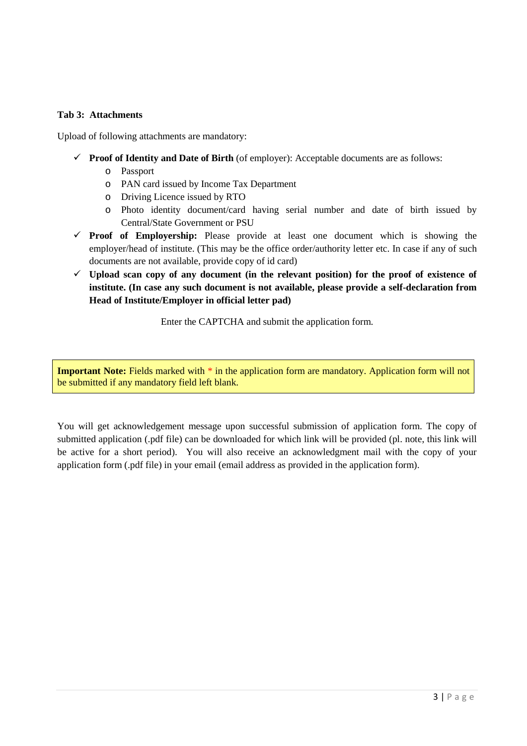# **Tab 3: Attachments**

Upload of following attachments are mandatory:

- **Proof of Identity and Date of Birth** (of employer): Acceptable documents are as follows:
	- o Passport
	- o PAN card issued by Income Tax Department
	- o Driving Licence issued by RTO
	- o Photo identity document/card having serial number and date of birth issued by Central/State Government or PSU
- **Proof of Employership:** Please provide at least one document which is showing the employer/head of institute. (This may be the office order/authority letter etc. In case if any of such documents are not available, provide copy of id card)
- $\checkmark$  Upload scan copy of any document (in the relevant position) for the proof of existence of **institute. (In case any such document is not available, please provide a self-declaration from Head of Institute/Employer in official letter pad)**

Enter the CAPTCHA and submit the application form.

**Important Note:** Fields marked with  $*$  in the application form are mandatory. Application form will not be submitted if any mandatory field left blank.

You will get acknowledgement message upon successful submission of application form. The copy of submitted application (.pdf file) can be downloaded for which link will be provided (pl. note, this link will be active for a short period). You will also receive an acknowledgment mail with the copy of your application form (.pdf file) in your email (email address as provided in the application form).